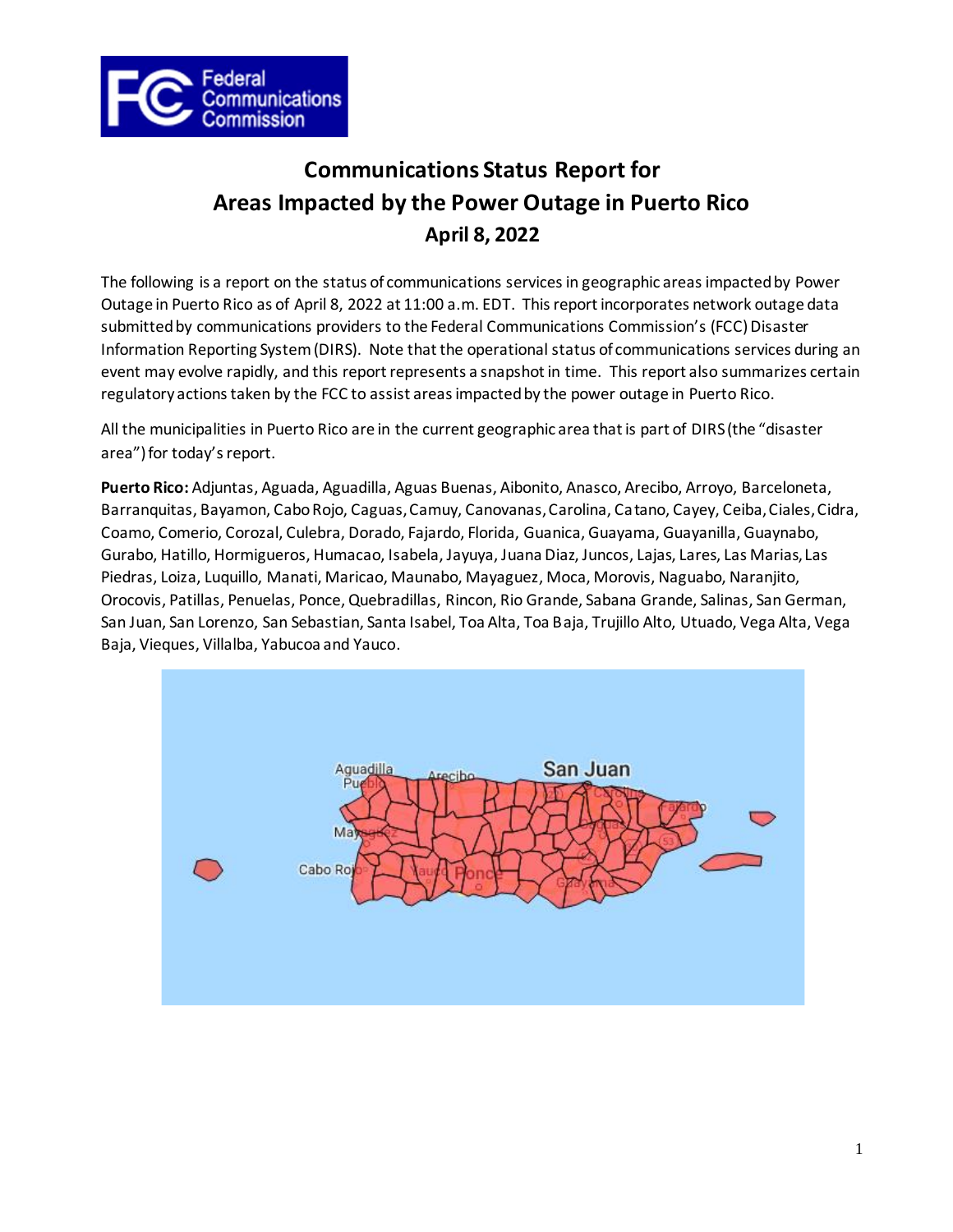

# **Communications Status Report for Areas Impacted by the Power Outage in Puerto Rico April 8, 2022**

The following is a report on the status of communications services in geographic areas impacted by Power Outage in Puerto Rico as of April 8, 2022 at 11:00 a.m. EDT. This report incorporates network outage data submitted by communications providers to the Federal Communications Commission's (FCC) Disaster Information Reporting System (DIRS). Note that the operational status of communications services during an event may evolve rapidly, and this report represents a snapshot in time. This report also summarizes certain regulatory actions taken by the FCC to assist areas impacted by the power outage in Puerto Rico.

All the municipalities in Puerto Rico are in the current geographic area that is part of DIRS (the "disaster area") for today's report.

**Puerto Rico:** Adjuntas, Aguada, Aguadilla, Aguas Buenas, Aibonito, Anasco, Arecibo, Arroyo, Barceloneta, Barranquitas, Bayamon, Cabo Rojo, Caguas, Camuy, Canovanas, Carolina, Catano, Cayey, Ceiba, Ciales, Cidra, Coamo, Comerio, Corozal, Culebra, Dorado, Fajardo, Florida, Guanica, Guayama, Guayanilla, Guaynabo, Gurabo, Hatillo, Hormigueros, Humacao, Isabela, Jayuya, Juana Diaz, Juncos, Lajas, Lares, Las Marias, Las Piedras, Loiza, Luquillo, Manati, Maricao, Maunabo, Mayaguez, Moca, Morovis, Naguabo, Naranjito, Orocovis, Patillas, Penuelas, Ponce, Quebradillas, Rincon, Rio Grande, Sabana Grande, Salinas, San German, San Juan, San Lorenzo, San Sebastian, Santa Isabel, Toa Alta, Toa Baja, Trujillo Alto, Utuado, Vega Alta, Vega Baja, Vieques, Villalba, Yabucoa and Yauco.

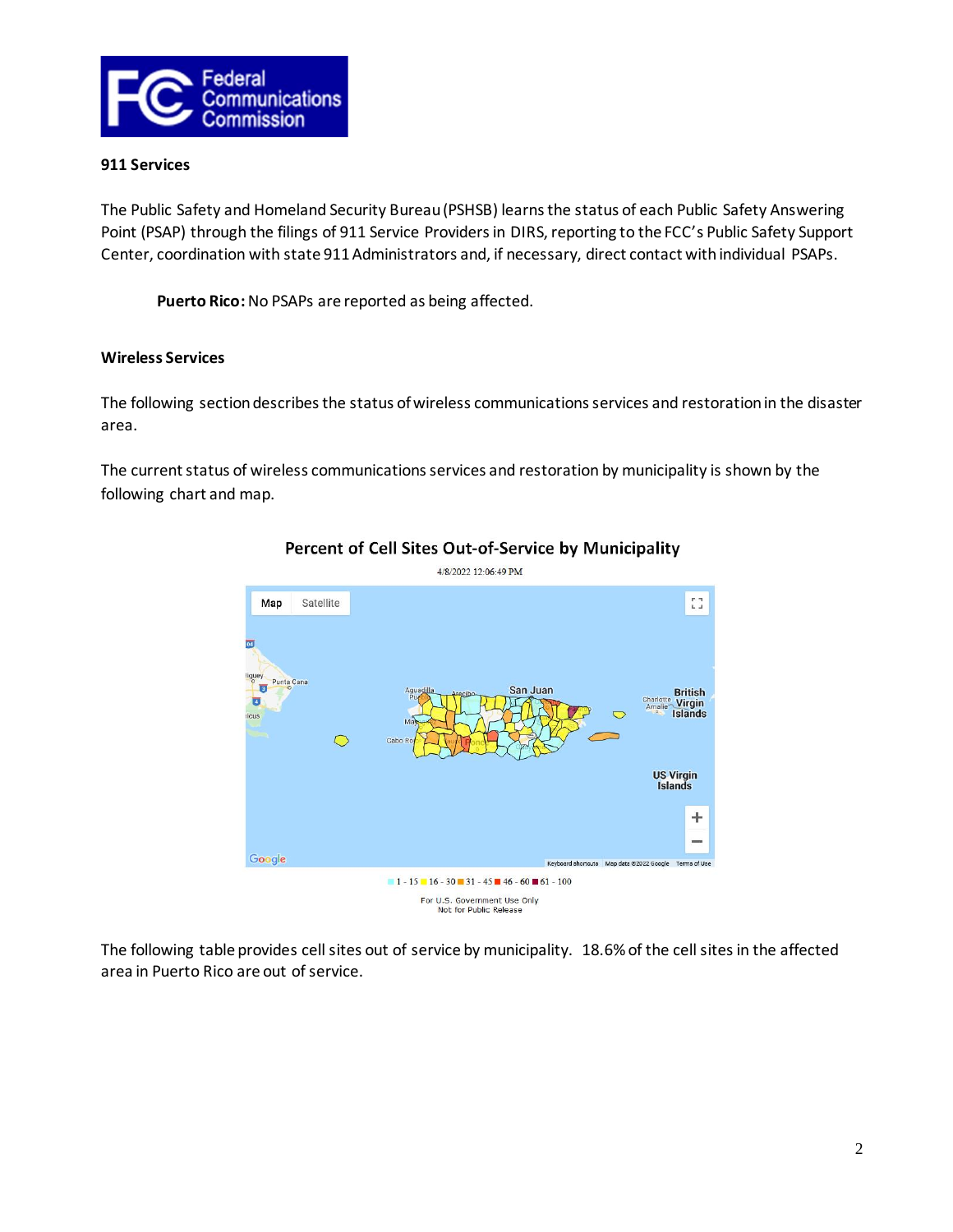

#### **911 Services**

The Public Safety and Homeland Security Bureau (PSHSB) learns the status of each Public Safety Answering Point (PSAP) through the filings of 911 Service Providers in DIRS, reporting to the FCC's Public Safety Support Center, coordination with state 911 Administrators and, if necessary, direct contact with individual PSAPs.

**Puerto Rico:**No PSAPs are reported as being affected.

### **Wireless Services**

The following section describes the status of wireless communications services and restoration in the disaster area.

The current status of wireless communications services and restoration by municipality is shown by the following chart and map.



## Percent of Cell Sites Out-of-Service by Municipality

The following table provides cell sites out of service by municipality. 18.6% of the cell sites in the affected area in Puerto Rico are out of service.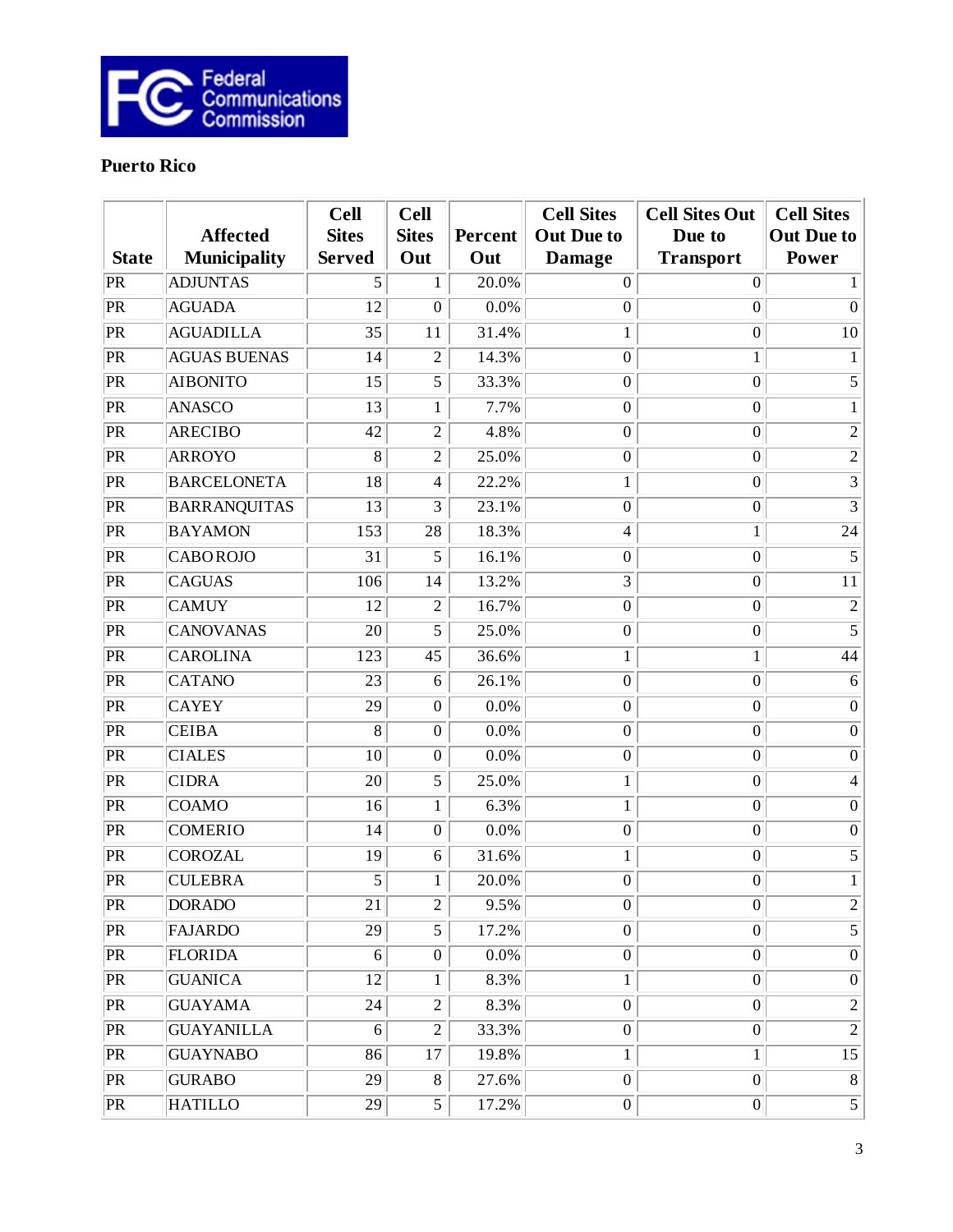

# **Puerto Rico**

|                        |                     | <b>Cell</b>     | <b>Cell</b>      |                | <b>Cell Sites</b> | <b>Cell Sites Out</b> | <b>Cell Sites</b> |
|------------------------|---------------------|-----------------|------------------|----------------|-------------------|-----------------------|-------------------|
|                        | <b>Affected</b>     | <b>Sites</b>    | <b>Sites</b>     | <b>Percent</b> | <b>Out Due to</b> | Due to                | <b>Out Due to</b> |
| <b>State</b>           | <b>Municipality</b> | <b>Served</b>   | Out              | Out            | <b>Damage</b>     | <b>Transport</b>      | Power             |
| PR                     | <b>ADJUNTAS</b>     | 5               | 1                | 20.0%          | $\boldsymbol{0}$  | $\mathbf{0}$          | 1                 |
| $\overline{\text{PR}}$ | <b>AGUADA</b>       | 12              | $\overline{0}$   | $0.0\%$        | $\boldsymbol{0}$  | $\boldsymbol{0}$      | $\theta$          |
| $\overline{\text{PR}}$ | <b>AGUADILLA</b>    | 35              | 11               | 31.4%          | 1                 | $\boldsymbol{0}$      | 10                |
| PR                     | <b>AGUAS BUENAS</b> | 14              | $\overline{2}$   | 14.3%          | $\boldsymbol{0}$  | $\mathbf{1}$          | $\mathbf{1}$      |
| PR                     | <b>AIBONITO</b>     | 15              | 5                | 33.3%          | $\boldsymbol{0}$  | $\boldsymbol{0}$      | $\overline{5}$    |
| $\overline{\text{PR}}$ | <b>ANASCO</b>       | 13              | 1                | 7.7%           | $\boldsymbol{0}$  | $\boldsymbol{0}$      | 1                 |
| PR                     | <b>ARECIBO</b>      | 42              | $\overline{2}$   | 4.8%           | $\boldsymbol{0}$  | $\boldsymbol{0}$      | $\overline{2}$    |
| PR                     | <b>ARROYO</b>       | $\overline{8}$  | $\mathfrak{2}$   | 25.0%          | $\boldsymbol{0}$  | $\boldsymbol{0}$      | $\overline{2}$    |
| $\overline{\text{PR}}$ | <b>BARCELONETA</b>  | 18              | $\overline{4}$   | 22.2%          | 1                 | $\boldsymbol{0}$      | $\overline{3}$    |
| PR                     | <b>BARRANQUITAS</b> | 13              | $\overline{3}$   | 23.1%          | $\boldsymbol{0}$  | $\overline{0}$        | $\overline{3}$    |
| PR                     | <b>BAYAMON</b>      | 153             | 28               | 18.3%          | 4                 | 1                     | $\overline{24}$   |
| PR                     | <b>CABOROJO</b>     | 31              | 5                | 16.1%          | $\boldsymbol{0}$  | $\boldsymbol{0}$      | 5                 |
| PR                     | <b>CAGUAS</b>       | 106             | 14               | 13.2%          | 3                 | $\overline{0}$        | 11                |
| PR                     | <b>CAMUY</b>        | 12              | $\mathfrak{2}$   | 16.7%          | $\boldsymbol{0}$  | $\boldsymbol{0}$      | $\overline{2}$    |
| PR                     | <b>CANOVANAS</b>    | 20              | 5                | 25.0%          | $\boldsymbol{0}$  | $\boldsymbol{0}$      | $\overline{5}$    |
| PR                     | <b>CAROLINA</b>     | 123             | 45               | 36.6%          | $\mathbf{1}$      | $\mathbf{1}$          | 44                |
| PR                     | <b>CATANO</b>       | 23              | 6                | 26.1%          | $\boldsymbol{0}$  | $\boldsymbol{0}$      | 6                 |
| PR                     | <b>CAYEY</b>        | 29              | $\boldsymbol{0}$ | 0.0%           | $\boldsymbol{0}$  | $\boldsymbol{0}$      | $\boldsymbol{0}$  |
| PR                     | <b>CEIBA</b>        | $\overline{8}$  | $\boldsymbol{0}$ | 0.0%           | $\boldsymbol{0}$  | $\overline{0}$        | $\overline{0}$    |
| PR                     | <b>CIALES</b>       | 10              | $\boldsymbol{0}$ | 0.0%           | $\boldsymbol{0}$  | $\boldsymbol{0}$      | $\boldsymbol{0}$  |
| PR                     | <b>CIDRA</b>        | 20              | 5                | 25.0%          | 1                 | $\boldsymbol{0}$      | $\overline{4}$    |
| PR                     | <b>COAMO</b>        | 16              | $\mathbf{1}$     | 6.3%           | $\mathbf{1}$      | $\overline{0}$        | $\boldsymbol{0}$  |
| PR                     | <b>COMERIO</b>      | 14              | $\boldsymbol{0}$ | $0.0\%$        | $\boldsymbol{0}$  | $\boldsymbol{0}$      | $\boldsymbol{0}$  |
| PR                     | <b>COROZAL</b>      | 19              | 6                | 31.6%          | $\mathbf{1}$      | $\boldsymbol{0}$      | $\overline{5}$    |
| PR                     | <b>CULEBRA</b>      | 5               | 1                | 20.0%          | $\boldsymbol{0}$  | $\overline{0}$        | $\mathbf{1}$      |
| PR                     | <b>DORADO</b>       | 21              | $\mathbf{2}$     | 9.5%           | $\boldsymbol{0}$  | $\boldsymbol{0}$      | $\mathbf{2}$      |
| PR                     | FAJARDO             | $\overline{29}$ | $\overline{5}$   | 17.2%          | $\boldsymbol{0}$  | $\overline{0}$        | $\overline{5}$    |
| PR                     | <b>FLORIDA</b>      | 6               | $\boldsymbol{0}$ | 0.0%           | $\boldsymbol{0}$  | $\overline{0}$        | $\overline{0}$    |
| PR                     | <b>GUANICA</b>      | 12              | $\mathbf{1}$     | 8.3%           | $\mathbf{1}$      | $\boldsymbol{0}$      | $\boldsymbol{0}$  |
| PR                     | <b>GUAYAMA</b>      | 24              | $\overline{2}$   | 8.3%           | $\boldsymbol{0}$  | $\boldsymbol{0}$      | $\overline{2}$    |
| PR                     | <b>GUAYANILLA</b>   | $\sqrt{6}$      | $\overline{2}$   | 33.3%          | $\boldsymbol{0}$  | $\boldsymbol{0}$      | $\overline{2}$    |
| PR                     | <b>GUAYNABO</b>     | 86              | 17               | 19.8%          | $\mathbf{1}$      | $\mathbf{1}$          | $\overline{15}$   |
| PR                     | <b>GURABO</b>       | $\overline{29}$ | 8                | 27.6%          | $\overline{0}$    | $\overline{0}$        | $8\phantom{.}$    |
| PR                     | <b>HATILLO</b>      | 29              | 5 <sup>1</sup>   | 17.2%          | $\mathbf{0}$      | $\overline{0}$        | $\overline{5}$    |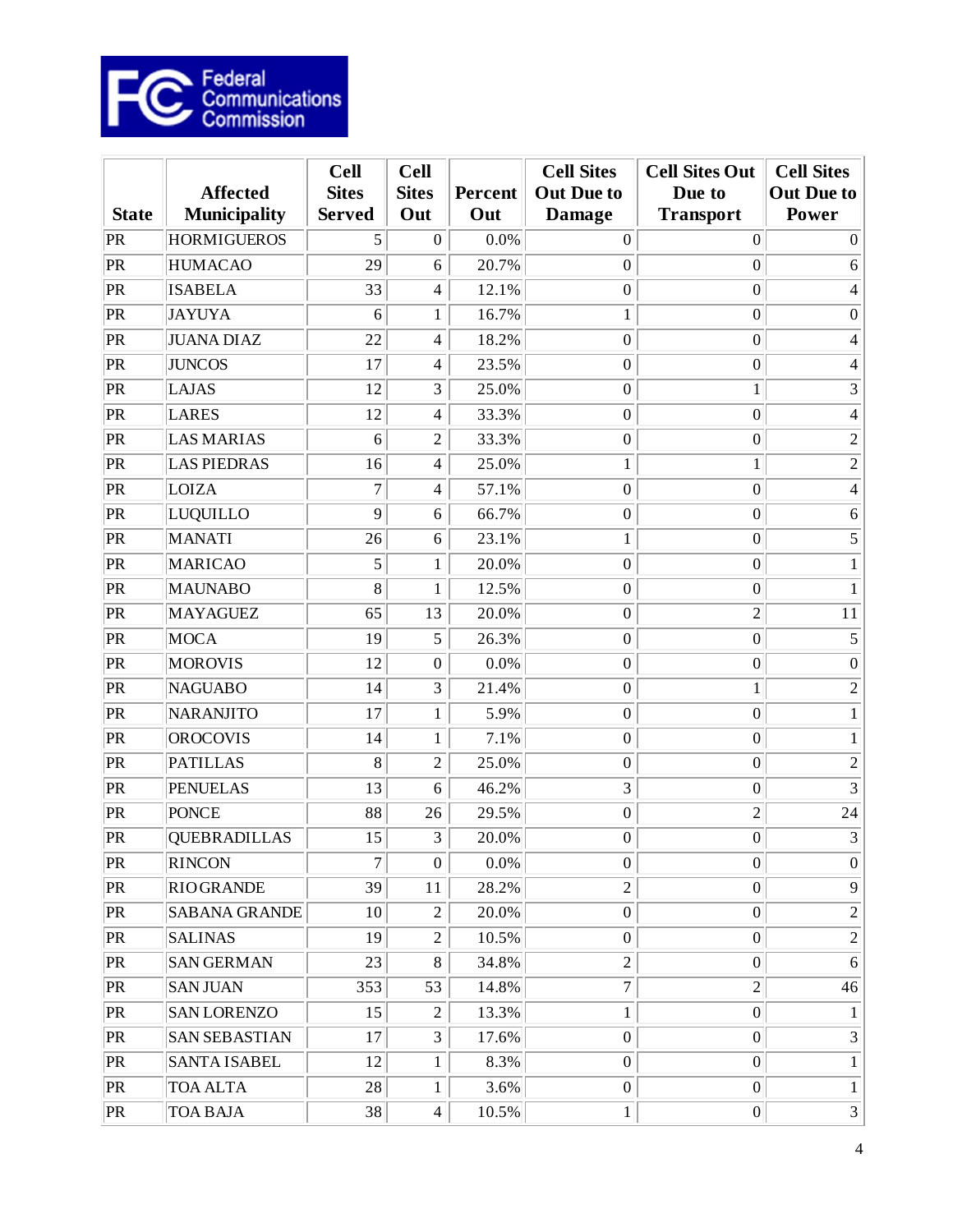

| <b>State</b>           | <b>Affected</b><br><b>Municipality</b> | <b>Cell</b><br><b>Sites</b><br><b>Served</b> | <b>Cell</b><br><b>Sites</b><br>Out | <b>Percent</b><br>Out | <b>Cell Sites</b><br><b>Out Due to</b><br><b>Damage</b> | <b>Cell Sites Out</b><br>Due to<br><b>Transport</b> | <b>Cell Sites</b><br><b>Out Due to</b><br><b>Power</b> |
|------------------------|----------------------------------------|----------------------------------------------|------------------------------------|-----------------------|---------------------------------------------------------|-----------------------------------------------------|--------------------------------------------------------|
| PR                     | <b>HORMIGUEROS</b>                     | 5                                            | $\boldsymbol{0}$                   | 0.0%                  | $\mathbf{0}$                                            | $\boldsymbol{0}$                                    | $\overline{0}$                                         |
| PR                     | <b>HUMACAO</b>                         | 29                                           | 6                                  | 20.7%                 | $\boldsymbol{0}$                                        | $\boldsymbol{0}$                                    | 6                                                      |
| PR                     | <b>ISABELA</b>                         | 33                                           | 4                                  | 12.1%                 | $\boldsymbol{0}$                                        | $\boldsymbol{0}$                                    | $\overline{4}$                                         |
| PR                     | <b>JAYUYA</b>                          | 6                                            | $\mathbf{1}$                       | 16.7%                 | $\mathbf{1}$                                            | $\boldsymbol{0}$                                    | $\boldsymbol{0}$                                       |
| PR                     | <b>JUANA DIAZ</b>                      | 22                                           | 4                                  | 18.2%                 | $\boldsymbol{0}$                                        | $\boldsymbol{0}$                                    | $\overline{4}$                                         |
| PR                     | <b>JUNCOS</b>                          | 17                                           | 4                                  | 23.5%                 | $\boldsymbol{0}$                                        | $\boldsymbol{0}$                                    | $\overline{4}$                                         |
| PR                     | LAJAS                                  | 12                                           | 3                                  | 25.0%                 | $\boldsymbol{0}$                                        | $\mathbf{1}$                                        | 3                                                      |
| PR                     | LARES                                  | 12                                           | 4                                  | 33.3%                 | $\boldsymbol{0}$                                        | $\boldsymbol{0}$                                    | $\overline{4}$                                         |
| PR                     | <b>LAS MARIAS</b>                      | 6                                            | $\sqrt{2}$                         | 33.3%                 | $\boldsymbol{0}$                                        | $\boldsymbol{0}$                                    | $\sqrt{2}$                                             |
| PR                     | <b>LAS PIEDRAS</b>                     | 16                                           | 4                                  | 25.0%                 | $\mathbf{1}$                                            | $\mathbf{1}$                                        | $\overline{2}$                                         |
| PR                     | LOIZA                                  | $\tau$                                       | 4                                  | 57.1%                 | $\boldsymbol{0}$                                        | $\boldsymbol{0}$                                    | $\overline{4}$                                         |
| PR                     | LUQUILLO                               | 9                                            | 6                                  | 66.7%                 | $\boldsymbol{0}$                                        | $\boldsymbol{0}$                                    | $\sqrt{6}$                                             |
| PR                     | <b>MANATI</b>                          | 26                                           | 6                                  | 23.1%                 | $\mathbf{1}$                                            | $\boldsymbol{0}$                                    | 5                                                      |
| PR                     | MARICAO                                | 5                                            | $\mathbf{1}$                       | 20.0%                 | $\boldsymbol{0}$                                        | $\boldsymbol{0}$                                    | $\mathbf{1}$                                           |
| PR                     | <b>MAUNABO</b>                         | 8                                            | $\mathbf{1}$                       | 12.5%                 | $\boldsymbol{0}$                                        | $\boldsymbol{0}$                                    | 1                                                      |
| PR                     | MAYAGUEZ                               | 65                                           | 13                                 | 20.0%                 | $\boldsymbol{0}$                                        | $\overline{c}$                                      | 11                                                     |
| PR                     | <b>MOCA</b>                            | 19                                           | 5                                  | 26.3%                 | $\boldsymbol{0}$                                        | $\boldsymbol{0}$                                    | 5                                                      |
| PR                     | <b>MOROVIS</b>                         | 12                                           | $\overline{0}$                     | 0.0%                  | $\boldsymbol{0}$                                        | $\boldsymbol{0}$                                    | $\boldsymbol{0}$                                       |
| PR                     | <b>NAGUABO</b>                         | 14                                           | 3                                  | 21.4%                 | $\boldsymbol{0}$                                        | $\mathbf{1}$                                        | $\sqrt{2}$                                             |
| PR                     | NARANJITO                              | 17                                           | $\mathbf{1}$                       | 5.9%                  | $\boldsymbol{0}$                                        | $\boldsymbol{0}$                                    | $\mathbf{1}$                                           |
| PR                     | <b>OROCOVIS</b>                        | 14                                           | $\mathbf{1}$                       | 7.1%                  | $\boldsymbol{0}$                                        | $\boldsymbol{0}$                                    | $\mathbf{1}$                                           |
| PR                     | <b>PATILLAS</b>                        | 8                                            | $\mathbf{2}$                       | 25.0%                 | $\boldsymbol{0}$                                        | $\boldsymbol{0}$                                    | $\sqrt{2}$                                             |
| PR                     | <b>PENUELAS</b>                        | 13                                           | 6                                  | 46.2%                 | 3                                                       | $\boldsymbol{0}$                                    | $\overline{3}$                                         |
| PR                     | <b>PONCE</b>                           | 88                                           | 26                                 | 29.5%                 | $\boldsymbol{0}$                                        | $\sqrt{2}$                                          | 24                                                     |
| $\overline{\text{PR}}$ | <b>QUEBRADILLAS</b>                    | 15                                           | 3                                  | 20.0%                 | $\boldsymbol{0}$                                        | $\boldsymbol{0}$                                    | $\overline{3}$                                         |
| PR                     | <b>RINCON</b>                          | 7                                            | $\boldsymbol{0}$                   | 0.0%                  | $\boldsymbol{0}$                                        | $\boldsymbol{0}$                                    | $\overline{0}$                                         |
| PR                     | <b>RIO GRANDE</b>                      | 39                                           | 11                                 | 28.2%                 | $\overline{c}$                                          | $\boldsymbol{0}$                                    | 9                                                      |
| PR                     | <b>SABANA GRANDE</b>                   | 10                                           | $\overline{c}$                     | 20.0%                 | $\overline{0}$                                          | $\boldsymbol{0}$                                    | $\sqrt{2}$                                             |
| PR                     | <b>SALINAS</b>                         | 19                                           | $\mathbf{2}$                       | 10.5%                 | $\boldsymbol{0}$                                        | $\boldsymbol{0}$                                    | $\sqrt{2}$                                             |
| PR                     | <b>SAN GERMAN</b>                      | 23                                           | 8                                  | 34.8%                 | $\overline{c}$                                          | $\boldsymbol{0}$                                    | 6                                                      |
| PR                     | <b>SAN JUAN</b>                        | 353                                          | 53                                 | 14.8%                 | $\boldsymbol{7}$                                        | $\sqrt{2}$                                          | 46                                                     |
| PR                     | <b>SAN LORENZO</b>                     | 15                                           | $\overline{c}$                     | 13.3%                 | $\mathbf{1}$                                            | $\boldsymbol{0}$                                    | $\mathbf{1}$                                           |
| PR                     | <b>SAN SEBASTIAN</b>                   | 17                                           | $\overline{3}$                     | 17.6%                 | $\boldsymbol{0}$                                        | $\boldsymbol{0}$                                    | $\mathfrak{Z}$                                         |
| PR                     | <b>SANTA ISABEL</b>                    | 12                                           | $\mathbf{1}$                       | 8.3%                  | $\overline{0}$                                          | $\boldsymbol{0}$                                    | $\mathbf{1}$                                           |
| PR                     | <b>TOA ALTA</b>                        | 28                                           | $\mathbf{1}$                       | 3.6%                  | $\boldsymbol{0}$                                        | $\boldsymbol{0}$                                    | $\mathbf{1}$                                           |
| PR                     | <b>TOA BAJA</b>                        | 38                                           | $\overline{4}$                     | 10.5%                 | $\mathbf{1}$                                            | $\boldsymbol{0}$                                    | $\mathfrak{Z}$                                         |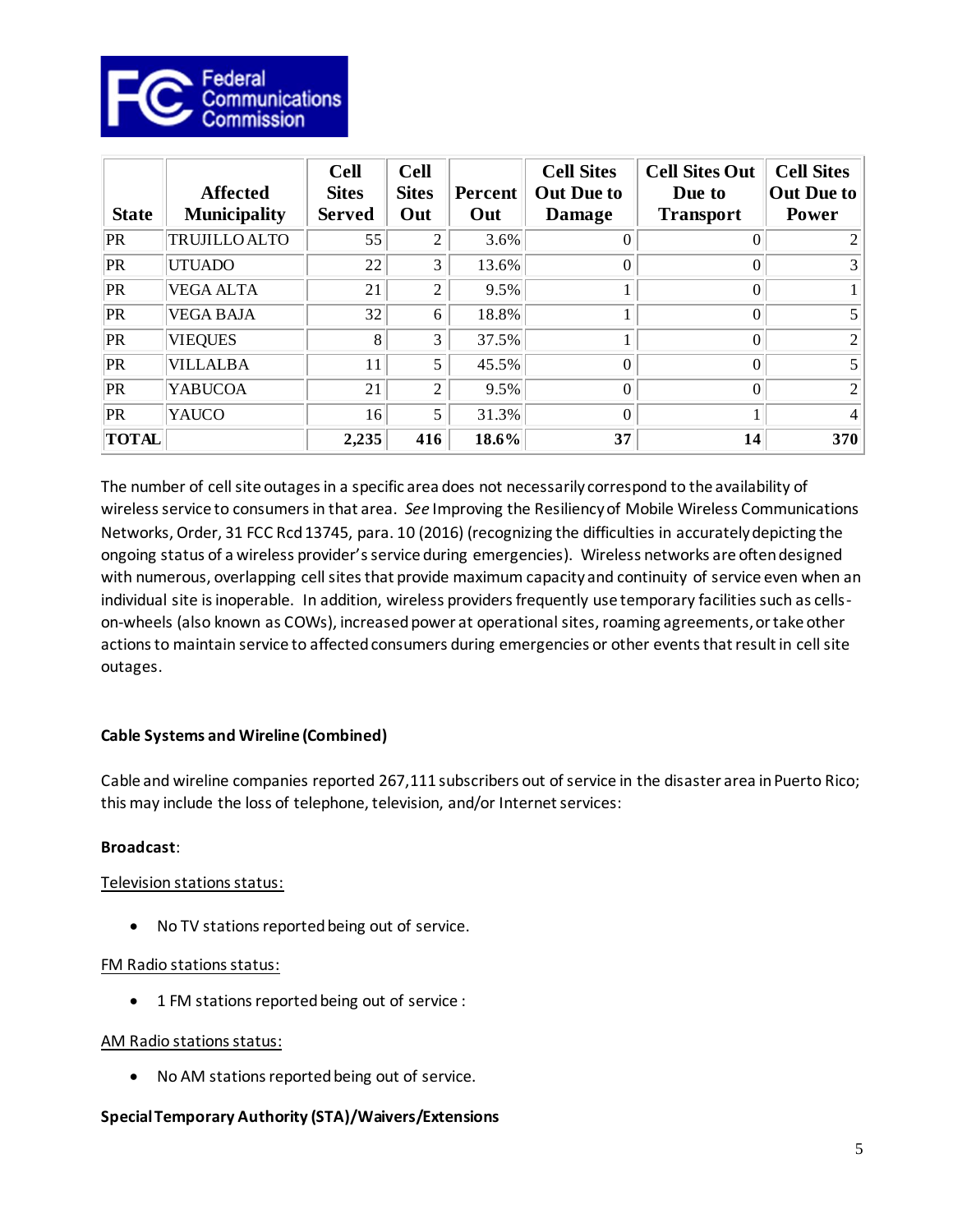

| <b>State</b> | <b>Affected</b><br><b>Municipality</b> | <b>Cell</b><br><b>Sites</b><br><b>Served</b> | <b>Cell</b><br><b>Sites</b><br>Out | <b>Percent</b><br>Out | <b>Cell Sites</b><br><b>Out Due to</b><br><b>Damage</b> | <b>Cell Sites Out</b><br>Due to<br><b>Transport</b> | <b>Cell Sites</b><br><b>Out Due to</b><br>Power |
|--------------|----------------------------------------|----------------------------------------------|------------------------------------|-----------------------|---------------------------------------------------------|-----------------------------------------------------|-------------------------------------------------|
| PR           | <b>TRUJILLO ALTO</b>                   | 55                                           | 2                                  | 3.6%                  |                                                         | 0                                                   |                                                 |
| PR           | <b>UTUADO</b>                          | 22                                           | 3                                  | 13.6%                 |                                                         | 0                                                   | 3                                               |
| PR           | <b>VEGA ALTA</b>                       | 21                                           | 2                                  | 9.5%                  |                                                         | 0                                                   |                                                 |
| PR           | <b>VEGA BAJA</b>                       | 32                                           | 6                                  | 18.8%                 |                                                         | 0                                                   |                                                 |
| PR           | <b>VIEQUES</b>                         | 8                                            | 3                                  | 37.5%                 |                                                         | 0                                                   | $\mathfrak{D}$                                  |
| PR           | <b>VILLALBA</b>                        | 11                                           | 5.                                 | 45.5%                 | 0                                                       | 0                                                   |                                                 |
| PR           | <b>YABUCOA</b>                         | 21                                           | $\overline{2}$                     | 9.5%                  | $\Omega$                                                | 0                                                   | $\mathfrak{D}$                                  |
| PR           | YAUCO                                  | 16                                           | 5                                  | 31.3%                 | $\Omega$                                                |                                                     | 4                                               |
| <b>TOTAL</b> |                                        | 2,235                                        | 416                                | 18.6%                 | 37                                                      | 14                                                  | 370                                             |

The number of cell site outages in a specific area does not necessarily correspond to the availability of wireless service to consumers in that area. *See* Improving the Resiliency of Mobile Wireless Communications Networks, Order, 31 FCC Rcd 13745, para. 10 (2016) (recognizing the difficulties in accurately depicting the ongoing status of a wireless provider's service during emergencies). Wireless networks are often designed with numerous, overlapping cell sites that provide maximum capacity and continuity of service even when an individual site is inoperable. In addition, wireless providers frequently use temporary facilities such as cellson-wheels (also known as COWs), increased power at operational sites, roaming agreements, or take other actions to maintain service to affected consumers during emergencies or other events that result in cell site outages.

## **Cable Systems and Wireline (Combined)**

Cable and wireline companies reported 267,111 subscribers out of service in the disaster area in Puerto Rico; this may include the loss of telephone, television, and/or Internet services:

#### **Broadcast**:

#### Television stations status:

• No TV stations reported being out of service.

#### FM Radio stations status:

• 1 FM stations reported being out of service :

#### AM Radio stations status:

• No AM stations reported being out of service.

#### **Special Temporary Authority (STA)/Waivers/Extensions**